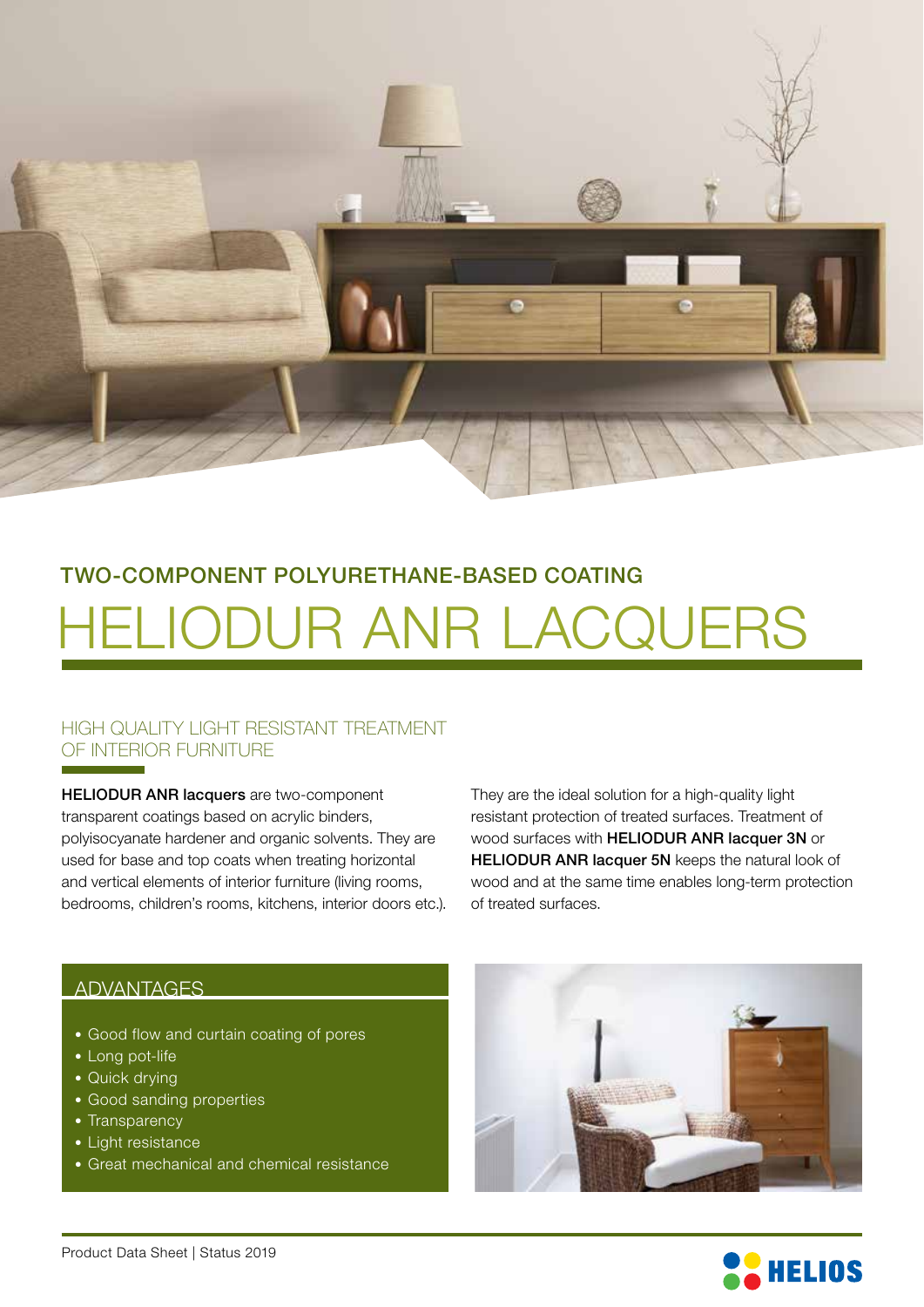

# HELIODUR ANR LACQUERS TWO-COMPONENT POLYURETHANE-BASED COATING

### HIGH QUALITY LIGHT RESISTANT TREATMENT OF INTERIOR FURNITURE

HELIODUR ANR lacquers are two-component transparent coatings based on acrylic binders, polyisocyanate hardener and organic solvents. They are used for base and top coats when treating horizontal and vertical elements of interior furniture (living rooms, bedrooms, children's rooms, kitchens, interior doors etc.).

They are the ideal solution for a high-quality light resistant protection of treated surfaces. Treatment of wood surfaces with HELIODUR ANR lacquer 3N or HELIODUR ANR lacquer 5N keeps the natural look of wood and at the same time enables long-term protection of treated surfaces.

#### ADVANTAGES

- Good flow and curtain coating of pores
- Long pot-life
- Quick drying
- Good sanding properties
- Transparency
- Light resistance
- Great mechanical and chemical resistance